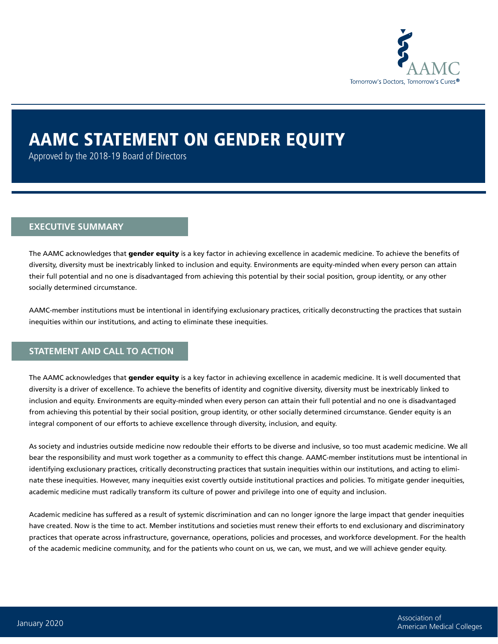

# AAMC STATEMENT ON GENDER EQUITY

Approved by the 2018-19 Board of Directors

#### **EXECUTIVE SUMMARY**

The AAMC acknowledges that gender equity is a key factor in achieving excellence in academic medicine. To achieve the benefits of diversity, diversity must be inextricably linked to inclusion and equity. Environments are equity-minded when every person can attain their full potential and no one is disadvantaged from achieving this potential by their social position, group identity, or any other socially determined circumstance.

AAMC-member institutions must be intentional in identifying exclusionary practices, critically deconstructing the practices that sustain inequities within our institutions, and acting to eliminate these inequities.

### **STATEMENT AND CALL TO ACTION**

The AAMC acknowledges that gender equity is a key factor in achieving excellence in academic medicine. It is well documented that diversity is a driver of excellence. To achieve the benefits of identity and cognitive diversity, diversity must be inextricably linked to inclusion and equity. Environments are equity-minded when every person can attain their full potential and no one is disadvantaged from achieving this potential by their social position, group identity, or other socially determined circumstance. Gender equity is an integral component of our efforts to achieve excellence through diversity, inclusion, and equity.

As society and industries outside medicine now redouble their efforts to be diverse and inclusive, so too must academic medicine. We all bear the responsibility and must work together as a community to effect this change. AAMC-member institutions must be intentional in identifying exclusionary practices, critically deconstructing practices that sustain inequities within our institutions, and acting to eliminate these inequities. However, many inequities exist covertly outside institutional practices and policies. To mitigate gender inequities, academic medicine must radically transform its culture of power and privilege into one of equity and inclusion.

Academic medicine has suffered as a result of systemic discrimination and can no longer ignore the large impact that gender inequities have created. Now is the time to act. Member institutions and societies must renew their efforts to end exclusionary and discriminatory practices that operate across infrastructure, governance, operations, policies and processes, and workforce development. For the health of the academic medicine community, and for the patients who count on us, we can, we must, and we will achieve gender equity.